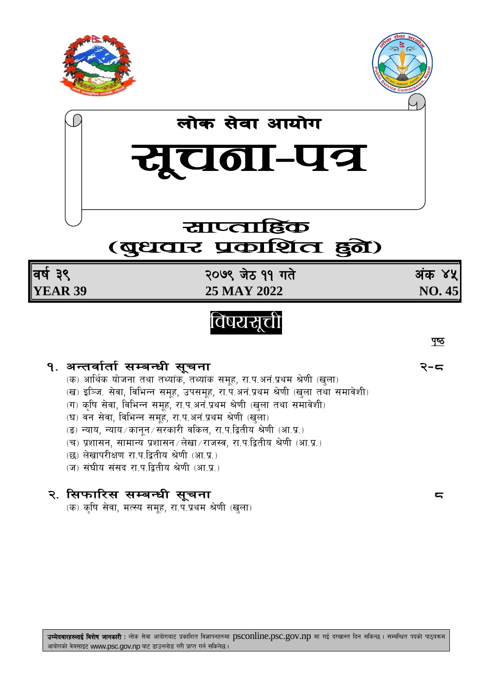





# (बुधवार प्रकाशित हुते)

वर्ष ३९ **YEAR 39** 

२०७९ जेठ ११ गते 25 MAY 2022

अंक ४५ NO.45

# विषयसूची

१. अन्तर्वार्ता सम्बन्धी सूचना

- (क) आर्थिक योजना तथा तथ्यांक, तथ्यांक समूह, रा.प.अनं.प्रथम श्रेणी (खुला)
- (ख) इञ्जि. सेवा, विभिन्न समूह, उपसमूह, रा.प.अनं.प्रथम श्रेणी (खुला तथा समावेशी)
- (ग) कृषि सेवा, विभिन्न समूह, रा.प.अनं.प्रथम श्रेणी (खुला तथा समावेशी)
- (घ) वन सेवा, विभिन्न समूह, रा.प.अनं.प्रथम श्रेणी (खुला)
- (ङ) न्याय, न्याय ⁄ कानून ⁄ सरकारी वकिल, रा.प.द्वितीय श्रेणी (आ.प्र.)
- (च) प्रशासन, सामान्य प्रशासन ∕लेखा ∕ राजस्व, रा.प.द्वितीय श्रेणी (आ.प्र.)
- (छ) लेखापरीक्षण रा.प.द्वितीय श्रेणी (आ.प्र.)
- (ज) संघीय संसद रा.प.द्वितीय श्रेणी (आ.प्र.)

## २. सिफारिस सम्बन्धी सूचना

(क) कृषि सेवा, मत्स्य समूह, रा.प.प्रथम श्रेणी (खुला)

पुष्ठ

২−≂

 $5$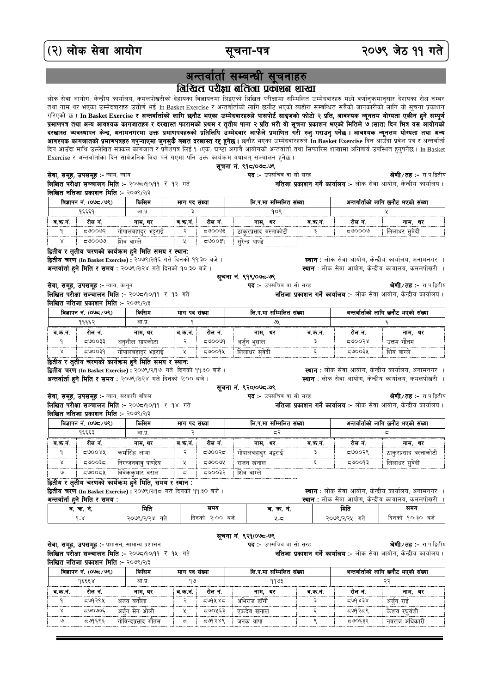(२) लोक सेवा आयोग

## अन्तर्वार्ता सम्बन्धी सूचनाहरु बिखित परीक्षा बर्तिजा प्रकाशन शाखा

.<br>लोक सेवा आयोग, केन्द्रीय कार्यालय, कमलपोखरीको देहायका विज्ञापनमा लिइएको लिखित परीक्षामा सम्मिलित उम्मेदवारहरु मध्ये वर्णानुकमानुसार देहायका रोल नम्बर तथा नाम थर भएका उम्मेदवारहरु उत्तीर्ण भई In Basket Exercise र अन्तर्वार्ताको लागि छनौट भएको व्यहोरा सम्बन्धित सबैको जानकारीको लागि यो सूचना प्रकाशन गरिएको छ । In Basket Exercise र अन्तर्वार्ताको लागि छनौट भएका उम्मेदवारहरुले पासपोर्ट साइजको फोटो २ प्रति, आवश्यक न्यूनतम योग्यता एकीन हुने सम्पूर्ण प्रमाणपत्र तथा अन्य आवश्यक कागजातहरु र दरखास्त फारामको प्रथम र तृतीय पाना २ प्रति भरी यो सूचना प्रकाशन भएको मितिले ७ (सात) दिन भित्र यस आयोगको<br>दरखास्त व्यवस्थापन केन्द्र, अनामनगरमा उक्त प्रमाणपत्रहरुको प्रतिलिपि उम्मेदवार **आवश्यक कागजातको प्रमाणपत्रहरु नपुऱ्याएमा जुनसुकै बखत दरखास्त रद्द हुनेछ ।** छनौट भएका उम्मेदवारहरुले In Basket Exercise दिन आउँदा प्रवेश पत्र र अन्तर्वार्ता दिन आउँदा माथि उल्लेखित सक्कल कांगजात र प्रवेशपत्र लिई १ (एक) घण्टा अगावै आयोगको अन्तर्वार्ता तथा सिफारिस शाखामा अनिवार्य उपस्थित हनुपर्नेछ। In Basket Exercise र अन्तर्वार्ताका दिन सार्वजनिक विदा पर्न गएमा पनि उक्त कार्यक्रम यथावत् सञ्चालन हुनेछ । सूचना नं. ९१८/०७८-७९ सेवा, समूह, उपसमूह :- न्याय, न्याय पद :- उपसचिव वा सो सरह श्रेणी/तह :- रा.प.द्वितीय

लिखित परीक्षा सञ्चालन मिति :- २०७८/१०/११ र १२ गते लिखित नतिजा प्रकाशन मिति :- २०७९/२/३

| विज्ञापन नं. (०७८/७९) |        |         | किसिम               | माग पद सख्या |         | लि.प.मा सम्मिलित संख्या |       | अन्तर्वार्ताको लागि छनौट भएको संख्या |              |  |
|-----------------------|--------|---------|---------------------|--------------|---------|-------------------------|-------|--------------------------------------|--------------|--|
| १६६६१                 |        |         | आ.प्र               |              |         | १०९                     |       |                                      |              |  |
|                       | ब.क.न. | रोल नं. | नाम. थर             | ब.क.न        | रोल नं. | थर<br>नाम.              | व.क.न | रोलनं                                | थर<br>नाम.   |  |
|                       |        | ८೮೦೦೮ಸ  | गापालबहादुर भट्टराई |              | ⊂ಅ೦೦ಅ3  | ठाकरप्रसाद बस्ताकोटी    |       | $50000$ ಸ                            | लिलाधर सवेदी |  |
|                       |        | ದಅ೦೦ಅ೦  | शिव वाग्ले          |              | F50097  | सरेन्द्र पाण्डे         |       |                                      |              |  |

#### द्वितीय र तृतीय चरणको कार्यक्रम हुने मिति समय र स्थान:

द्वितीय चरण (In Basket Exercise) : २०७९।२१९६ गते दिनको ११:३० बजे। अन्तर्वार्ता हुने मिति र समय : २०७९।२।२४ गते दिनको १०:३० बजे ।

**स्थान** : लोक सेवा आयोग, केन्द्रीय कार्यालय, अनामनगर । स्थान : लोक सेवा आयोग, केन्द्रीय कार्यालय, कमलपोखरी ।

नतिजा प्रकाशन गर्ने कार्यालय :- लोक सेवा आयोग, केन्द्रीय कार्यालय।

नतिजा प्रकाशन गर्ने कार्यालय :- लोक सेवा आयोग, केन्द्रीय कार्यालय।

श्रेणी/**तह:-** रा.प.द्वितीय

श्रे**णी / तह: -** रा.प.द्वितीय

नतिजा प्रकाशन गर्ने कार्यालय :- लोक सेवा आयोग, केन्द्रीय कार्यालय।

सूचना नं. ९१९/०७८-७९

श्रेणी/तह :- रा.प.द्वितीय सेवा, समूह, उपसमूह :- न्याय, कानून पद :- उपसचिव वा सो सरह लिखित परीक्षा सञ्चालन मिति :- २०७८/१०/११ र १३ गते नतिजा प्रकाशन गर्ने कार्यालय :- लोक सेवा आयोग, केन्द्रीय कार्यालय। **लिखित नतिजा प्रकाशन मिति :- २०७९/२/३** 

| विज्ञापन नं. (०७८/७९) |       |        | किरिाम              | माग पद संख्या |          | लि.प.मा सम्मिलित संख्या |        | अन्तर्वार्ताको लागि छनौट भएको संख्या |            |
|-----------------------|-------|--------|---------------------|---------------|----------|-------------------------|--------|--------------------------------------|------------|
| १६६६२                 |       |        | आ.प्र.              |               |          | ওሃ                      |        |                                      |            |
|                       | ब.क.न | रोल न. | नाम थर              | व.क.न         | रोल नं.  | थर<br>नाम.              | व कर्न | रोल नं                               | नाम.<br>थर |
|                       |       | द७००३३ | अनशील सापकोटा       |               | ದಿರಿಂಳಿಸ | अर्जन भसाल              |        | 500058                               | उत्तम गोतम |
|                       |       | F50097 | गापालबहादुर भट्टराई |               | 50009    | लिलाधर सवेदी            |        | ⊄ಅ೦೦3⊻                               | शिव वाग्ले |

सूचना नं. ९२०/०७८-७९

**पद :-** उपसचिव वा सो सरह

पद :- उपसचिव वा सो सरह

#### द्वितीय र तृतीय चरणको कार्यक्रम हुने मिति समय र स्थान:

**स्थान** : लोक सेवा आयोग, केन्द्रीय कार्यालय, अनामनगर । द्वितीय चरण (In Basket Exercise) : २०७९/२/१७ गते दिनको ११:३० बजे। अन्तर्वार्ता हुने मिति र समय : २०७९।२।२४ गते दिनको २:०० बजे । स्थान : लोक सेवा आयोग, केन्द्रीय कार्यालय, कमलपोखरी ।

#### सेवा, समूह, उपसमूह :- न्याय, सरकारी वकिल

लिखित परीक्षा सञ्चालन मिति :- २०७८/१०/११ र १४ गते लिखित नतिजा प्रकाशन मिति :- २०७९/२/३

| किसिम<br>विज्ञापन नं. (০७८ ⁄ ७९) |           |                    | माग पद संख्या |         | लि.प.मा सम्मिलित संख्या |        | अन्तर्वार्ताको लागि छनौट भएको संख्या |                       |
|----------------------------------|-----------|--------------------|---------------|---------|-------------------------|--------|--------------------------------------|-----------------------|
| १६६६३                            |           | आ.प्र.             |               |         | द२                      |        | ς                                    |                       |
| ब.क.नं                           | रोल नं.   | नाम. थर            | ब.क.नं.       | रोल नं. | नाम. थर                 | ब.क.न. | रोल नं.                              | नाम, थर               |
|                                  | 590088    | कर्मासिंह लामा     |               | द७००२द  | गोपालबहादुर भट्टराई     |        | द७००२९                               | ठाकुरप्रसाद बस्ताकोटी |
|                                  | द७००३द    | निरन्जनवाव पाण्डेय |               | ದಅಂಂಳ   | राजन खनाल               |        | द७००१३                               | लिलाधर सुवेदी         |
| ও                                | द७००द्रप् | विवेककुमार वराल    | ζ             | द७००३२  | शिव वाग्ले              |        |                                      |                       |

### द्वितीय र ततीय चरणको कार्यक्रम हुने मिति, समय र स्थान:

द्वितीय चरण (In Basket Exercise) : २०७९।२११ = गते दिनको ११:३० बजे।

स्थान : लोक सेवा आयोग, केन्द्रीय कार्यालय, अनामनगर । अन्तर्वार्ता हुने मिति र समय : **स्थान :** लोक सेवा आयोग, केन्द्रीय कार्यालय, कमलपोखरी । ब. क. नं. मिति समय ब. क. नं. मिति समय २०७९/२/२४ गते दिनको २:०० बजे २०७९/२/२५ गते दिनको १०:३० बजे  $9 - 8$ ५-८

#### सूचना नं. ९२१/०७८-७९

सेवा, समूह, उपसमूह :- प्रशासन, सामान्य प्रशासन लिखित परीक्षा सञ्चालन मिति :- २०७८/१०/११ र १५ गते लिखित नतिजा प्रकाशन मिति :- २०७९/२/३

| विज्ञापन नं. (०७८ ⁄ ७९) |         | किसिम              | माग पद संख्या |         | लि.प.मा सम्मिलित संख्या |        | अन्तर्वार्ताको लागि छनौट भएको संख्या |               |
|-------------------------|---------|--------------------|---------------|---------|-------------------------|--------|--------------------------------------|---------------|
| १६६६४                   |         | आ.प्र.             | 9 کا          |         | 9993                    |        | ನಿ                                   |               |
| ब.क.नं                  | रोल नं. | नाम. थर            | ब.क.न.        | रोल नं. | नाम. थर                 | ब.क.न. | रोल नं                               | नाम. थर       |
|                         | द७१२९५  | अजय बर्ताला        |               | ⊂ປ%າໃຊ  | अभिराज डाँगी            |        | 599838                               | अर्जन राई     |
|                         | द७०७७६  | अर्जुन सेन ओली     |               | द७०५६३  | एकदेव खनाल              |        | द७१२द९                               | केशव रघवंशी   |
| ও                       | द७१६९६  | गोविन्दप्रसाद गौतम | ζ             | द७१२४९  | जनक थापा                |        | द७०६३२                               | नवराज अधिकारी |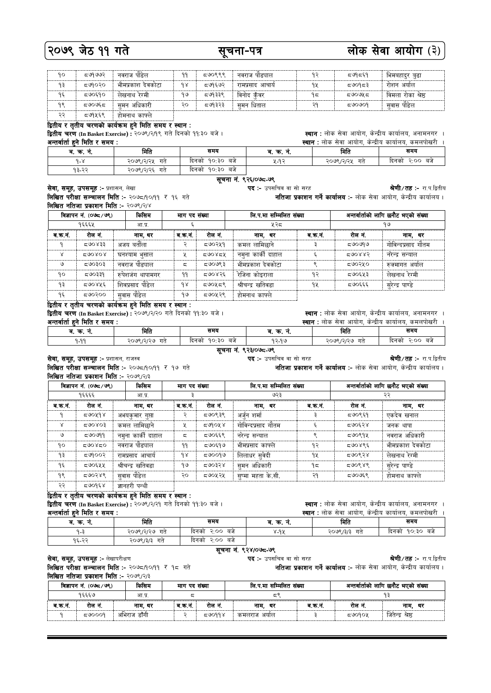## २०७९ जेठ ११ गते

### सूचना-पत्र

## लोक सेवा आयोग (३)

| 90 | ≂७१७७२   | नवराज पोडेल                 | 99  | द७०९९९  | नवराज पाड्याल    | ۹5 | द७१द६१    | भिमबहादुर बुढा     |
|----|----------|-----------------------------|-----|---------|------------------|----|-----------|--------------------|
| ۹₹ | द७१०२०   | भीमप्रकाश देवकोटा           | 9 S | ट७१६७२  | रामप्रसाद आचार्य | ٩X | ⊂ ಅಂ9⊂ ಕಿ | रोशन अयोल          |
| ۹६ | 590590   | लेखनाथ रेग्मी               | १७  | द ७१३३९ | विनोद कँवर       | ۹द | ದ ಅಂಅಸ ದ  | विमला रोका श्रेष्ठ |
| 98 | ದ ೨೮೦೮ ದ | <sup>.</sup> अधिकारी<br>समन | २०  | द७१३२३  | समन धिताल        | PÇ | ದಅಂಅಂಇ    | सवास पोडेल         |
| ວວ | द७१५६९   | होमनाथ काफ्ले               |     |         |                  |    |           |                    |

#### द्वितीय र तृतीय चरणको कार्यक्रम हुने मिति समय र स्थान :

द्वितीय चरण (In Basket Exercise) : २०७९/२/१९ गते दिनको ११:३० बजे। أبالمماجا فلف

**स्थान** : लोक सेवा आयोग, केन्द्रीय कार्यालय, अनामनगर ।

| अन्तवाता हन ।मात र समय : |                 |                    | स्थान : लाक सवा आयाग, कन्द्राय कायालय, कमलपाखरा । |                 |                   |  |  |
|--------------------------|-----------------|--------------------|---------------------------------------------------|-----------------|-------------------|--|--|
| ब. क.<br>٦.              | मिति            | समय                | ब. क. न.                                          | मिति            | समय               |  |  |
| $9 - 8$                  | २०७९/२/२५<br>गत | १०:३० बजे<br>दिनका | ५-१२                                              | २०७९/२/२५<br>गत | २:०० बजे<br>दिनको |  |  |
| १३-२२                    | २०७९/२/२६ गते   | १०∶३० बजे<br>दिनकी |                                                   |                 |                   |  |  |

श्रेणी/तह :- रा.प.द्वितीय

#### सूचना नं. ९२६/०७८-७९

**पद :-** उपसचिव वा सो सरह नतिजा प्रकाशन गर्ने कार्यालय :- लोक सेवा आयोग, केन्द्रीय कार्यालय।

सेवा, समूह, उपसमूह :- प्रशासन, लेखा लिखित परीक्षा सञ्चालन मिति :- २०७८/१०/११ र १६ गते लिखित नतिजा प्रकाशन मिति :- २०७९/२/४

| विज्ञापन नं. (੦७८ ⁄ ७९) |         | किसिम             | माग पद संख्या |         | लि.प.मा सम्मिलित संख्या |         | अन्तर्वार्ताको लागि छनौट भएको संख्या |                    |
|-------------------------|---------|-------------------|---------------|---------|-------------------------|---------|--------------------------------------|--------------------|
| १६६६५                   |         | आ.प्र.            |               |         | ५२८                     |         | १७                                   |                    |
| ब.क.न.                  | रोल नं. | नाम. थर           | ब.क.नं.       | रोल नं. | नाम. थर                 | ब.क.नं. | रोल नं.                              | नाम, थर            |
|                         | 588002  | अजय बर्ताला       | ≎             | द७०२५१  | कमल लामिछाने            |         | ≂७০৩৭৩                               | गोविन्दप्रसाद गौतम |
| $\times$                | 500808  | घनश्याम भुसाल     | X             | 590854  | नमुना कार्की दाहाल      |         | 588.85                               | नरेन्द्र सन्याल    |
| ও                       | द७०३०३  | नवराज पौड्याल     | ζ             | द७०७९३  | भीमप्रकाश देवकोटा       | ۰       | द७०२५०                               | रुक्मागत अर्याल    |
| 90                      | द७०३३१  | रुपेशजंग थापामगर  | ۹۹            | द७०४२६  | रेजिना कोइराला          | १२      | द७०६५३                               | लेखनाथ रेग्मी      |
| ۹₹                      | द७०४५६  | शिवप्रसाद पौडेल   | 9 S           | द७०५द९  | श्रीचन्द्र खतिवडा       | ٩X      | द७०६६६                               | सुरेन्द्र पाण्डे   |
| ۹६                      | C09000  | सवास पौडेल        | १७            | द७०५२९  | होमनाथ काफ्ले           |         |                                      |                    |
|                         |         | $0.0 - 0.0 - 0.0$ |               |         |                         |         |                                      |                    |

द्वितीय र तृतीय चरणको कार्यक्रम हुने मिति समय र स्थान : द्वितीय चरण (In Basket Exercise) : २०७९/२/२० गते दिनको ११:३० बजे।

अन्तर्वार्ता हुने मिति र समय :

सेवा, समूह, उपसमूह :- प्रशासन, राजस्व

**स्थान :** लोक सेवा आयोग, केन्द्रीय कार्यालय, अनामनगर । **स्थान :** लोक सेवा आयोग, केन्द्रीय कार्यालय, कमलपोखरी ।

**स्थान** : लोक सेवा आयोग, केन्द्रीय कार्यालय, अनामनगर ।

नतिजा प्रकाशन गर्ने कार्यालय :- लोक सेवा आयोग, केन्द्रीय कार्यालय।

| __________<br>.<br>______ |                          |                           |          |                  |                     |  |  |  |  |
|---------------------------|--------------------------|---------------------------|----------|------------------|---------------------|--|--|--|--|
| ч.<br>ч.                  | मिति                     | समय                       | м.<br>ч. | मिति             | समय                 |  |  |  |  |
| QQQ                       | २०७९ ।२।२७<br>$-$<br>-Hr | 90.30<br>बज<br>दिनको<br>- | 92.99    | २०७९ ।२।२७<br>गत | 3.00<br>बज<br>दिनका |  |  |  |  |
| __                        |                          |                           |          |                  |                     |  |  |  |  |

#### सूचना नं. ९२३/०७८-७९ **पद :-** उपसचिव वा सो सरह

#### श्रेणी / तह :- रा.प.द्वितीय

श्रे**णी ⁄ तह :-** रा.प.द्वितीय

नतिजा प्रकाशन गर्ने कार्यालय :- लोक सेवा आयोग, केन्द्रीय कार्यालय।

लिखित परीक्षा सञ्चालन मिति :- २०७८/१०/११ र १७ गते लिखित नतिजा प्रकाशन मिति :- २०७९/२/३

| विज्ञापन नं. (०७८⁄ ७९) |         | किसिम             | माग पद संख्या  |         | लि.प.मा सम्मिलित संख्या |         | अन्तर्वार्ताको लागि छनौट भएको संख्या |                   |
|------------------------|---------|-------------------|----------------|---------|-------------------------|---------|--------------------------------------|-------------------|
|                        | १६६६६   | आ.प्र.            |                |         | ७२३                     |         | २२                                   |                   |
| ब.क.नं.                | रोल नं. | नाम, थर           | ब.क.न.         | रोल नं. | नाम, थर                 | ब.क.नं. | रोल नं.                              | नाम, थर           |
| $\mathsf{P}$           | 590498  | अभयकमार गप्ता     | ্              | द७०९३९  | अर्जन शर्मा             |         | द७०९६१                               | एकदेव खनाल        |
| Χ                      | 500003  | कमल लामिछाने      | X              | द७१०५४  | गोविन्दप्रसाद गौतम      |         | द७०६२४                               | जनक थापा          |
| ৩                      | द७०७११  | नमना कार्की दाहाल | $\overline{a}$ | द७०६६९  | नरेन्द्र सन्याल         | ۰       | द७०९१५                               | नवराज अधिकारी     |
| 90                     | 590850  | नवराज पौड्याल     | ۹۹             | द७०६१७  | भीमप्रसाद काफ्ले        | १२      | द७०४९६                               | भीमप्रकाश देवकोटा |
| ۹₹                     | द७१००२  | रामप्रसाद आचार्य  | $\delta$       | 500099  | लिलाधर सुवेदी           | ٩X      | द७०९२४                               | लेखनाथ रेग्मी     |
| ۹६                     | द७०६५५  | श्रीचन्द्र खतिवडा | १७             | द७०३२४  | समन अधिकारी             | ۹ξ      | द७०९४९                               | सरेन्द्र पाण्डे   |
| १९                     | द७०२४९  | सुवास पौडेल       | २०             | द७०५२५  | सुष्मा महता के.सी.      | २१      | द७०७६९                               | होमनाथ काफ्ले     |
| ২২                     | द७०१६४  | ज्ञानहरी पन्थी    |                |         |                         |         |                                      |                   |

### द्वितीय र तृतीय चरणको कार्यक्रम हुने मिति समय र स्थान :

द्वितीय चरण (In Basket Exercise) : २०७९/२/२१ गते दिनको ११:३० बजे।

 $\overline{P}$ 

#### <u>अन्तर्वार्ता हुने मिति र समय :</u>

|       |      | <b>स्थान :</b> लोक सेवा आयोग, केन्द्रीय कार्यालय, कमलपोखरी |
|-------|------|------------------------------------------------------------|
| ब क्र | मिति |                                                            |

| જ્વર.<br>ч.<br>٦. | ामात            | जनन                   | ч.<br>ு.<br> | ામાત           | प्रमण                |
|-------------------|-----------------|-----------------------|--------------|----------------|----------------------|
| $9 - ?$           | २०७९/२/२७<br>गत | 5.00<br>बर्ज<br>दिनका | 8-97         | 7098/3/3<br>गत | 90:30<br>बज<br>दिनका |
| ດເກດ<br>' ہے ہے ، | २०७९/३/३<br>गत  | 5.00<br>बज<br>दिनका   |              |                |                      |

#### सूचना नं. ९२४/०७८-७९ पद :- उपसचिव वा सो सरह

सेवा, समूह, उपसमूह :- लेखापरीक्षण

लिखित परीक्षा सञ्चालन मिति :- २०७८/१०/११ र १८ गते **लिखित नतिजा प्रकाशन मिति :- २०७९/२/३** 

|                                  |        | $\mathbf{1} \cdot \mathbf{1} \cdot \mathbf{3} \cdot \mathbf{1} \cdot \mathbf{1} \cdot \mathbf{1} \cdot \mathbf{1} \cdot \mathbf{1} \cdot \mathbf{1} \cdot \mathbf{1} \cdot \mathbf{1} \cdot \mathbf{1} \cdot \mathbf{1} \cdot \mathbf{1} \cdot \mathbf{1} \cdot \mathbf{1} \cdot \mathbf{1} \cdot \mathbf{1} \cdot \mathbf{1} \cdot \mathbf{1} \cdot \mathbf{1} \cdot \mathbf{1} \cdot \mathbf{1} \cdot \mathbf{1} \cdot \mathbf{1} \cdot \mathbf{1} \cdot \mathbf{1} \cdot \mathbf{$ |               |        |                         |        |                                      |                   |  |
|----------------------------------|--------|---------------------------------------------------------------------------------------------------------------------------------------------------------------------------------------------------------------------------------------------------------------------------------------------------------------------------------------------------------------------------------------------------------------------------------------------------------------------------------------|---------------|--------|-------------------------|--------|--------------------------------------|-------------------|--|
| किसिम<br>विज्ञापन नं. (०७८ ⁄ ७९) |        |                                                                                                                                                                                                                                                                                                                                                                                                                                                                                       | माग पद संख्या |        | लि.प.मा सम्मिलित संख्या |        | अन्तर्वार्ताको लागि छनौट भएको संख्या |                   |  |
| १६६६७<br>आ.प्र                   |        |                                                                                                                                                                                                                                                                                                                                                                                                                                                                                       |               |        |                         |        |                                      |                   |  |
| ब.क.न                            | राल न. | नाम. थर                                                                                                                                                                                                                                                                                                                                                                                                                                                                               | व कर्न        | रोल न. | थर<br>नाम.              | व.क.न. | रोल न                                | थर<br>नाम.        |  |
|                                  | 50009  | अभिराज डाँगी                                                                                                                                                                                                                                                                                                                                                                                                                                                                          |               | 500998 | कमलराज अयोल             |        | 50000x                               | जितेन्द्र श्रेष्ठ |  |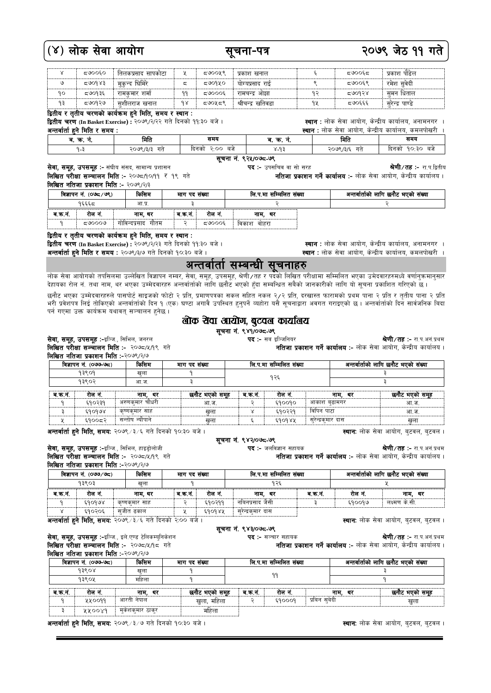## (४) लोक सेवा आयोग

|    | 500050  | तिलकप्रसाद सापकोटा |     | ८७००५९         | प्रकाश खनाल        |    | ದ೪೦೦೯ದ | प्रकाश पंडिल    |  |
|----|---------|--------------------|-----|----------------|--------------------|----|--------|-----------------|--|
| ७  | 580983  | मकन्द घिमिरे       | ದ   | द७०१४०         | योग्यप्रसाद राई    |    | द७००६९ | रमेश सवेदी      |  |
| ٩ο | द ७०१३६ | रामकमार शर्मा      | 99  | <b>द७</b> ०००६ | रामचन्द्र आझा      | ۹D | 500458 | समन धिताल       |  |
| ۹३ | द७०१२७  | सशीलराज खनाल       | 9 X | द७०५द९         | श्रीचन्द्र खोतेवडा | ٩¥ | द७०६६६ | सरेन्द्र पाण्डे |  |
|    |         | $ -$ 0.0           |     |                |                    |    |        |                 |  |

सुचना-पत्र

द्वितीय र तृतीय चरणको कार्यक्रम हुने मिति, समय र स्थान् :

द्वितीय चरण (In Basket Exercise) : २०७९/२/२२ गते दिनको ११:३० बजे।

<u>अन्तर्वार्ता हु</u>ने मिति र समय :

**स्थान :** लोक सेवा आयोग, केन्द्रीय कार्यालय, अनामनगर ।

**स्थान** : लोक सेवा आयोग, केन्द्रीय कार्यालय, अनामनगर ।

स्थान : लोक सेवा आयोग, केन्द्रीय कार्यालय, कमलपोखरी ।

**स्थान :** लोक सेवा आयोग, केन्द्रीय कार्यालय, कमलपोखरी  $\overline{1}$ <u>ब. क. नं.</u> समय म्रिति समय मिति ब. क. नं. दिनको २∙०० बजे दिनको १०∙३० बजे  $9 - 3$ २०७९/३/३ गते  $x - 97$ २०७९/३/६ गते

सूचना नं. ९२५/०७८-७९ **पद :-** उपसचिव वा सो सरह

श्रेणी/तह :- रा.प.द्वितीय नतिजा प्रकाशन गर्ने कार्यालय :- लोक सेवा आयोग, केन्द्रीय कार्यालय।

लिखित परीक्षा सञ्चालन मिति :- २०७८/१०/११ र १९ गते

|                                  |        | लिखित नतिजा प्रकाशन मिति :- २०७९/२/३ |        |                         |             |                                      |  |
|----------------------------------|--------|--------------------------------------|--------|-------------------------|-------------|--------------------------------------|--|
| किसिम<br>विज्ञापन नं. (০७८ ∕ ७९) |        | माग पद संख्या                        |        | लि.प.मा सम्मिलित संख्या |             | अन्तर्वार्ताको लागि छनौट भएको संख्या |  |
| १६६६८<br>आ.प्र.                  |        |                                      |        |                         |             |                                      |  |
| ब.क.न.                           | रोल न. | नाम. थर                              | ब.क.न. | राल न.                  | नाम. थर     |                                      |  |
|                                  | ८೦೦೦೮  | गोविन्दप्रसाद गौतम                   |        | ದ\ಿ೦೦೦೯                 | विकाश वोहरा |                                      |  |

#### द्वितीय र तृतीय चरणको कार्यक्रम हुने मिति, समय र स्थान:

सेवा, समूह, उपसमूह :- संघीय संसद, सामान्य प्रशासन

द्वितीय चरण (In Basket Exercise) : २०७९/२/२३ गते दिनको ११:३० बजे ।

अन्तर्वार्ता हुने मिति र समय : २०७९/३/७ गते दिनको १०:३० बजे ।

### अन्तर्वातो सम्बन्धी सूचनाहरु

लोक सेवा आयोगको तपसिलमा उल्लेखित विज्ञापन नम्बर, सेवा, समूह, उपसमूह, श्रेणी ∕तह र पदको लिखित परीक्षामा सम्मिलित भएका उमेदवारहरुमध्ये वर्णानुकमानुसार देहायका रोल नं. तथा नाम, थर भएका उम्मेदवारहरु अन्तर्वार्ताको लागि छनौट भएको हुँदा सम्बन्धित सबैको जानकारीको लागि यो सूचना प्रकाशित गरिएको छ।

छनौट भएका उम्मेदवारहरुले पासपोर्ट साइजको फोटो २ प्रति, प्रमाणपत्रका सकल सहित नकल २/२ प्रति, दरखास्त फारामको प्रथम पाना २ प्रति र तृतीय पाना २ प्रति<br>भरी प्रवेशपत्र लिई तोकिएको अन्तर्वार्ताको दिन् १ (एक) घण्टा अगावै उपस्थित पर्न गएमा उक्त कार्यक्रम यथावत् सञ्चालन हनेछ ।

### लोक रोवा आयोग, बुटवल कार्यालय

सूचना नं. ९४१/०७८-७९

**पद :-** सब इञ्जिनियर

सेवा, समूह, उपसमूह :-इञ्जि., सिभिल, जनरल लिखित परीक्षा सञ्चालन मिति :- २०७८/५/१९ गते

लिखित नतिजा प्रकाशन मिति :-२०७९/२/७ विज्ञापन नं. (०७७-७८) किसिम लि.प.मा सम्मिलित संख्या अन्तर्वार्ताको लागि छनौट भएको संख्या माग पद संख्या 93909 खला в १२६ १३९०२ आ ज रोल नं. ब.क.नं. रोल न. नाम, थर छनौट भएको समूह ब.क.नं. छनौट भएको समूह नाम, थर अरुणकुमार चौधरी ६१०२३९ आ ज  $690090$ आ ज  $\mathsf{P}$ २ Ę कृष्णकुमार साह ूँ  $590229$ विपिन पाटा  $690908$ आ ज खुला सन्तोष न्यौपाने सरेन्द्रकमार दास ६१००८२ खला ę ६१०१४५ खला

**अन्तर्वार्ता हुने मिति, समय:** २०७९ ⁄ ३ ⁄६ गते दिनको १०:३० बजे ।

सेवा, समूह, उपसमूह :-इञ्जि., सिभिल, हाइड्रोलोजी लिखित परीक्षा सञ्चालन मिति :- २०७८/५/१९ गते लिखित नतिजा प्रकाशन मिति :-२०७९/२/७

|        | विज्ञापन नं. (०७७/७८) | किसिम                                                              | माग पद संख्या |        | लि.प.मा सम्मिलित संख्या             |        |         | अन्तर्वार्ताको लागि छनौट भएको संख्या        |  |
|--------|-----------------------|--------------------------------------------------------------------|---------------|--------|-------------------------------------|--------|---------|---------------------------------------------|--|
|        | १३९०३<br>खला          |                                                                    |               |        | १२६                                 |        |         |                                             |  |
| ब.क.नं | रोल नं.               | नाम. थर                                                            | ब.क.नं.       | रोल नं | नाम. थर                             | ब.क.न. | रोल नं. | नाम. थर                                     |  |
|        | ६१०१७४                | कृष्णकमार साह                                                      |               | ६१०२११ | नबिनप्रसाद जैसी                     |        | 890099  | लक्ष्मण के.सी.                              |  |
|        | 590205                | सजीत ढकाल                                                          |               | 890988 | स् <i>रे</i> न्द्रक् <b>मार दास</b> |        |         |                                             |  |
|        |                       | <b>अन्तर्वार्ता हुने मिति, समयः</b> २०७९ /३/६ गते दिनको २:०० बजे । |               |        |                                     |        |         | <b>स्थान:</b> लोक सेवा आयोग, बुटवल, बुटवल । |  |

सूचना नं. ९४३/०७८-७९

पद :- सञ्चार सहायक

**अन्तर्वार्ता हुने मिति, समयः** २०७९ ⁄ ३ ⁄६ गते दिनको २:०० बजे ।

सेवा, समूह, उपसमूह :-इञ्जि., इले.एण्ड टेलिकम्युनिकेशन लिखित परीक्षा सञ्चालन मिति :- २०७८/५/१८ गते **लिखित नतिजा प्रकाशन मिति:-२०७९/२/७** 

|              | किसिम<br>विज्ञापन नं. (०७७-७८) |                  | माग पद संख्या  |         | लि.प.मा सम्मिलित संख्या |              |            | अन्तर्वार्ताको लागि छनौट भएको संख्या |  |  |
|--------------|--------------------------------|------------------|----------------|---------|-------------------------|--------------|------------|--------------------------------------|--|--|
| 93808<br>खला |                                |                  |                |         |                         |              |            |                                      |  |  |
|              | महिला<br>१३९०५                 |                  |                |         |                         |              |            |                                      |  |  |
|              |                                |                  |                |         |                         |              |            |                                      |  |  |
| ब क.नं.      | रोल नं.                        | नाम. थर          | छनौट भएको समूह | ब.क.नं. | रोल नं                  |              | नाम.<br>थर | छनौट भएको समूह                       |  |  |
|              | ४४००११                         | आरती नेपाल       | खुला, महिला    |         | 890009                  | प्रबिन सबेदी |            | खला                                  |  |  |
|              | XX00X9                         | मुकेशकुमार ठाकुर | महिला          |         |                         |              |            |                                      |  |  |

**अन्तर्वार्ता हुने मिति, समय:** २०७९ ⁄ ३ ⁄ ७ गते दिनको १०:३० बजे ।

**स्थान:** लोक सेवा आयोग, बुटवल, बुटवल ।

**पद :-** जलविज्ञान सहायक

नतिजा

**श्रेणी ⁄ तह ∶-** रा.प.अन.प्रथम

**श्रेणी ⁄ तह ∶-** रा.प.अनं.प्रथम

#### सूचना नं. ९४२/०७८-७९

**श्रेणी ⁄ तह ∶-** रा.प.अनं.प्रथम

स्थान: लोक सेवा आयोग, बुटवल, बुटवल ।

|  |  |  | प्रकाशन गर्ने कार्यालय :- लोक सेवा आयोग, केन्द्रीय कार्यालय |  |  |  |  |  |  |
|--|--|--|-------------------------------------------------------------|--|--|--|--|--|--|
|--|--|--|-------------------------------------------------------------|--|--|--|--|--|--|

नतिजा प्रकाशन गर्ने कार्यालय :- लोक सेवा आयोग, केन्द्रीय कार्यालय।

नतिजा प्रकाशन गर्ने कार्यालय :- लोक सेवा आयोग, केन्द्रीय कार्यालय।

२०७९ जेठ ११ गते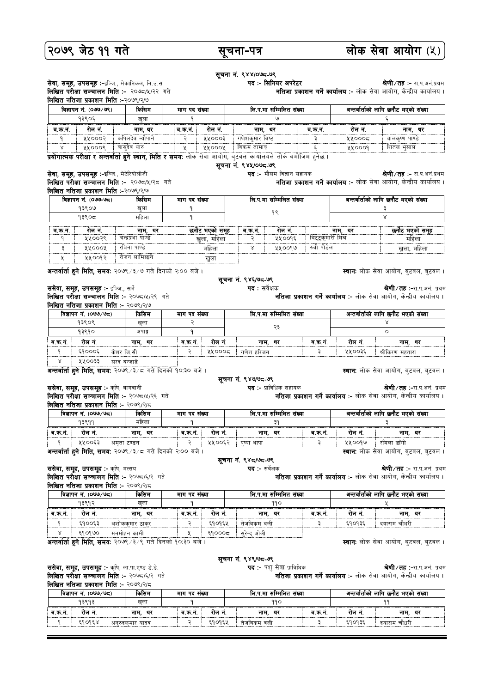## २०७९ जेठ ११ गते

सुचना-पत्र

#### सूचना नं. ९४४/०७८-७९ **सेवा, समूह, उपसमूह :-**इञ्जि., मेकानिकल, नि.उ.स पद :- सिनियर अपरेटर **श्रेणी ⁄ तह ∶-** रा.प.अनं.प्रथम लिखित परीक्षा सञ्चालन मिति :- २०७८/५/२२ गते **नतिजा प्रकाशन गर्ने कार्यालय:-** लोक सेवा आयोग, केन्द्रीय कार्यालय। लिखित नतिजा प्रकाशन मिति :-२०७९/२/७ किसिम विज्ञापन नं. (०७७/७९) लि.प.मा सम्मिलित संख्या अन्तर्वार्ताको लागि छनौट भएको संख्या माग पद संख्या 93808 खुला ब.क.नं. रोल नं. ब.क.नं. रोल नं नाम, थर ब.क.नं. रोल नं. नाम, थर नाम. थर ५५०००२ कपिलदेव न्यौपाने ४४०००३ गणेशकुमार बिष्ट ५५०००८ बालकृष्ण पाण्<mark>डे</mark>  $\overline{3}$ ٩  $\overline{\mathsf{x}}$ ५५०००९ बासदेव थारु  $\mathbf{y}$ ४४०००४ विक्रम तामाङ्ग  $\mathsf{c}$  $xx0009$ <u>शितल भसाल</u> प्रयोगात्मक परीक्षा र अन्तर्वार्ता हुने स्थान, मिति र समय: लोक सेवा आयोग, बुटवल कार्यालयले तोके बमोजिम हुनेछ । सूचना नं. ९४५/०७८-७९ सेवा, समूह, उपसमूह :-इञ्जि., मेटेरियोलोजी पद :- मौसम विज्ञान सहायक **श्रेणी ⁄ तद्र :-** रा प अनं पथम लिखित परीक्षा सञ्चालन मिति :- २०७८/५/२८ गते **नतिजा प्रकाशन गर्ने कार्यालय:-** लोक सेवा आयोग, केन्द्रीय कार्यालय। लिखित नतिजा प्रकाशन मिति :-२०७९/२/७ विज्ञापन नं. (०७७-७८) लि.प.मा सम्मिलित संख्या अन्तर्वार्ताको लागि छनौट भएको संख्या किरिगम मारा पट संख्या १३९०७ खला ٩ з  $98$ १३९०८ महिला छनौट भएको समूह रोल नं. ब.क.नं. रोल नं. नाम, थर ब.क.नं. नाम, थर छनौट भएको समूह <u>.</u><br>बिट्टुकुमारी मिश्र ५५००२९ चन्द्रप्रभा पाण्डे खुला, महिला ५५००१६ महिला ę  $\ddot{\mathfrak{z}}$  $4400d$ **AAOOOA**  $\overline{\mathbf{x}}$ महिला खुला, महिला रोजन लामिछाने  $\mathbf{\mathsf{y}}$ ५५००१२ खला **स्थान:** लोक सेवा आयोग, बुटवल, बुटवल । अन्तर्वार्ता हुने मिति, समय: २०७९ /३/७ गते दिनको २:०० बजे । सूचना नं. ९४६/७८-७९ ससेवा, समूह, उपसमूह :- इञ्जि., सर्भे **पद :** सर्वेक्षक **श्रेणी ⁄ तह ∶-**रा.प.अनं. प्रथम नतिजा प्रकाशन गर्ने कार्यालय :- लोक सेवा आयोग, केन्द्रीय कार्यालय । लिखित परीक्षा सञ्चालन मिति :- २०७८/५/२९ गते लिखित नतिजा प्रकाशन मिति :- २०७९/२/७ लि.प.मा सम्मिलित संख्या विज्ञापन नं. (०७७/७८) किसिम माग पद संख्या अन्तर्वार्ताको लागि छनौट भएको संख्या १३९०९ खला २३ 93890  $\overline{\Omega}$  $\mathbf{q}$ श्रणाड ब.क.नं. रोल नं. ब.क.नं. रोल नं. नाम, थर ब.क.नं. रोल नं नाम. थर नाम, थर ५५०००८ **YYOO3E**  $$9000$ केशर जि.सी गणेश हरिजन F श्रीकिरण महतारा ४४००३३ सरद बन्जाडे **अन्तर्वार्ता हुने मिति, समयः २०७९** /३ /८ गते दिनको १०:३० बजे । स्थान: लोक सेवा आयोग, बुटवल, बुटवल । सचना नं. ९४७/७८-७९ ससेवा, समूह, उपसमूह :- कृषि, बागवानी **पद :-** प्राविधिक सहायक **श्रेणी ⁄ तह ∶-**रा.प.अनं. प्रथम लिखित परीक्षा सञ्चालन मिति :- २०७८/५/२६ गते नतिजा प्रकाशन गर्ने कार्यालय :- लोक सेवा आयोग, केन्द्रीय कार्यालय। **लिखित नतिजा प्रकाशन मिति :- २०७९/२/८** विज्ञापन नं. (०७७/७८) लि.प.मा सम्मिलित संख्या अन्तर्वार्ताको लागि छनौट भएको संख्या किसिम माग पद संख्या 93899 महिला  $3<sup>d</sup>$ रोल नं. ब.क.नं. रोल नं. ब.क.नं. रोल नं. ब.क.नं. नाम, थर नाम, थर नाम, थर ५५००६३ ∣ अमृता टण्डन ५५००६२ पुष्पा थापा ५५००१७ रमिला डाँगी अन्तर्वार्ता हुने मिति, समय: २०७९/३/८ गते दिनको २:०० बजे । **स्थानः** लोक सेवा आयोग, बुटवल, बुटवल । सचना नं. ९४८/७८-७९ ससेवा, समूह, उपसमूह :- कृषि, मत्सय पद :- सर्वेक्षक श्रे**णी ⁄ तह :-** रा.प.अनं. प्रथम नतिजा प्रकाशन गर्ने कार्यालय :- लोक सेवा आयोग, केन्द्रीय कार्यालय। लिखित परीक्षा सञ्चालन मिति :- २०७८/६/२ गते लिखित नतिजा प्रकाशन मिति :- २०७९/२/८ विज्ञापन नं. (०७७/७८) लि.प.मा सम्मिलित संख्या अन्तर्वार्ताको लागि छनौट भएको संख्या किरिगम माग पद संख्या १३९१२ खुला 990 ब.क.नं. रोल नं. ब.क.नं. रोल नं. ब.क.नं. रोल नं. नाम, थर नाम, थर नाम, थर ६१००६३ ६१०१६५ तेजबिकम वली ३ ६१०१३६ दयाराम चौधरी अशोककुमार ठाकुर ६१०१७० मनमोहन कामी ६१०००८ 义 सुरेन्द ओली अन्तर्वार्ता हुने मिति, समयः २०७९ /३/९ गते दिनको १०:३० बजे । स्थान: लोक सेवा आयोग, बुटवल, बुटवल ।

ससेवा, समूह, उपसमूह :- कृषि, ला.पा.एण्ड डे.डे. लिखित परीक्षा सञ्चालन मिति :- २०७८/६/२ गते लिखित नतिजा प्रकाशन मिति :- २०७९/२/८

**नतिजा प्रकाशन गर्ने कार्यालय:-** लोक सेवा आयोग, केन्द्रीय कार्यालय।

लि.प.मा सम्मिलित संख्या अन्तर्वार्ताको लागि छनौट भएको संख्या विज्ञापन नं. (०७७/७८) किसिम माग पद संख्या १३९१३ ख्ला 990  $99$ q नाम, थर व.क.न. रोल नं. व.क.नं. रोल नं. ब.क.नं. रोल नं नाम, थर नाम, थर ६१०१६४ ६१०१६५ Ę ६१०१३६ तेजबिकम वली दयाराम चौधरी - q अनुरुदक्मार यादव

सूचना नं. ९४९/७८-७९

**पद :-** पशु सेवा प्राविधिक

**श्रेणी ⁄ तह ∶-**रा.प.अनं. प्रथम

लोक सेवा आयोग (५)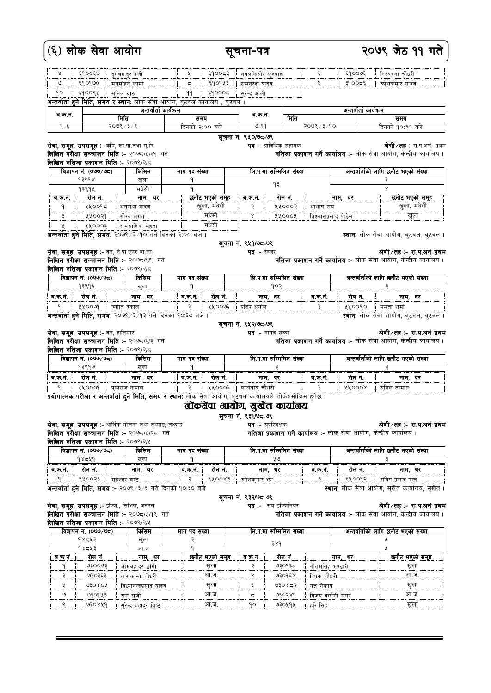|         | (६) लोक सेवा आयोग                                  |              |                                                                                     |               |                | सचना-पत्र           |                         |                     |                        | २०७९ जेठ ११ गते                                                                                         |
|---------|----------------------------------------------------|--------------|-------------------------------------------------------------------------------------|---------------|----------------|---------------------|-------------------------|---------------------|------------------------|---------------------------------------------------------------------------------------------------------|
| Χ       | ६१००६७                                             |              | दर्गबहादर दर्जी                                                                     | ₹             | ६१००८३         | नवलकिसोर क्श्वाहा   |                         | ६                   | ६१००७६                 | निरञ्जना चौधरी                                                                                          |
| ও       | 690960                                             |              | मनमोहन कामी                                                                         | ς             | ६१०१५३         | रामनरेश यादव        |                         | ९                   | ३१००८६                 | रुपेशकमार यादव                                                                                          |
| ۹٥      | ६१००९५                                             | सुनिल थारु   |                                                                                     | ۹۹            | \$90005        | सरेन्द्रं ओली       |                         |                     |                        |                                                                                                         |
|         |                                                    |              | <b>अन्तर्वार्ता हुने मिति, समय र स्थान:</b> लोक सेवा आयोग, बुटवल कार्यालय , बुटवल । |               |                |                     |                         |                     |                        |                                                                                                         |
| व.क.न.  |                                                    |              | अन्तर्वार्ता कार्यक्रम                                                              |               |                | ब.क.न.              |                         |                     | अन्तर्वार्ता कार्यक्रम |                                                                                                         |
|         |                                                    | मिति         |                                                                                     |               | समय            |                     | मिति                    |                     |                        | समय                                                                                                     |
| $9 - 5$ |                                                    | २०७९ / ३ / ९ |                                                                                     |               | दिनको २:०० बजे | 99-9                |                         | २०७९ / ३/१०         |                        | दिनको १०:३० बजे                                                                                         |
|         |                                                    |              |                                                                                     |               |                | सूचना नं. ९५०/७८-७९ |                         |                     |                        |                                                                                                         |
|         | <b>सेवा, समूह, उपसमूह :-</b> कृषि, खा.पा.तथा गु.नि |              |                                                                                     |               |                |                     | पद :- प्राविधिक सहायक   |                     |                        | <b>श्रेणी ⁄ तह ∶-</b> रा.प.अनं. प्रथम                                                                   |
|         |                                                    |              | <b>लिखित परीक्षा सञ्चालन मिति :-</b> २०७८/५/३१  गते                                 |               |                |                     |                         |                     |                        | नतिजा प्रकाशन गर्ने कार्यालय :- लोक सेवा आयोग, केन्द्रीय कार्यालय।                                      |
|         | <b>लिखित नतिजा प्रकाशन मिति :-</b> २०७९/२/८        |              |                                                                                     |               |                |                     |                         |                     |                        |                                                                                                         |
|         | विज्ञापन नं. (०७७/७८)                              |              | किसिम                                                                               | माग पद संख्या |                |                     | लि.प.मा सम्मिलित संख्या |                     |                        | अन्तर्वार्ताको लागि छनौट भएको संख्या                                                                    |
|         | १३९१४                                              |              | खुला                                                                                |               |                |                     | ۹₹                      |                     |                        | Ę                                                                                                       |
|         | १३९१५                                              |              | मधेसी                                                                               |               |                |                     |                         |                     |                        | $\times$                                                                                                |
| ब.क.नं. | रोल नं.                                            |              | नाम, थर                                                                             |               | छनौट भएको समूह | ब.क.न.              | रोल नं.                 |                     | नाम, थर                | छनौट भएको समूह                                                                                          |
| ۹       | ५५००१८                                             |              | अनुराधा यादव                                                                        |               | खुला, मधेसी    | २                   | ४५०००२                  | आभाष राय            |                        | खुला, मधेसी                                                                                             |
| ३       | ५५००२१                                             |              | गौरव भगत                                                                            |               | मधेसी          | Χ                   | ४४०००४                  | विश्वासप्रसाद पौडेल |                        | खला                                                                                                     |
| ¥.      | ५५०००६                                             |              | रामआशिश मेहता                                                                       |               | मधेसी          |                     |                         |                     |                        |                                                                                                         |
|         |                                                    |              | <b>अन्तर्वार्ता हने मिति, समयः</b> २०७९ ⁄ ३⁄१० गते दिनको २:०० बजे ।                 |               |                |                     |                         |                     |                        | <b>स्थान:</b> लोक सेवा आयोग, बुटवल, बुटवल ।                                                             |
|         |                                                    |              |                                                                                     |               |                | सूचना नं. ९५१/७८-७९ |                         |                     |                        |                                                                                                         |
|         | <b>सेवा, समूह, उपसमूह :-</b> वन, ने.पा.एण्ड वा.ला. |              | <b>लिखित परीक्षा सञ्चालन मिति :-</b> २०७८/६/१  गते                                  |               |                | पद :- रेञ्जर        |                         |                     |                        | श्रेणी ∕तहः- रा.प.अनं प्रथम<br><b>नतिजा प्रकाशन गर्ने कार्यालय:-</b> लोक सेवा आयोग, केन्द्रीय कार्यालय। |
|         | <b>लिखित नतिजा प्रकाशन मिति :-</b> २०७९/२/८        |              |                                                                                     |               |                |                     |                         |                     |                        |                                                                                                         |
|         | विज्ञापन नं. (०७७/७८)                              |              | किसिम                                                                               | माग पद संख्या |                |                     | लि.प.मा सम्मिलित संख्या |                     |                        | अन्तर्वार्ताको लागि छनौट भएको संख्या                                                                    |
|         | १३९१६                                              |              | ख्ला                                                                                | ٩             |                |                     | १०२                     |                     |                        | ३                                                                                                       |
| ब.क.नं. | रोल नं.                                            |              | नाम, थर                                                                             | ब.क.नं.       | रोल नं.        |                     | नाम, थर                 | ब.क.नं.             | रोल नं.                | नाम, थर                                                                                                 |
|         |                                                    |              |                                                                                     |               |                |                     |                         |                     |                        |                                                                                                         |

<u>३ | १५००९० | ममता शर्मा</u> <mark>| १ |</mark> ५५००७१ | ज्योति ढकाल | २ | ५५००७६ | प्रदिप अर्याल |<br>**अन्तर्वार्ता हुने मिति, समयः** २०७९ ⁄३ ⁄१३ गते दिनको १०:३० बजे । सूचना नं. ९५२/७८-७९

पद :- नायव सब्बा

| <b>सेवा, समूह, उपसमूह :-</b> वन, हात्तिसार |  |
|--------------------------------------------|--|
| लिखित परीक्षा सञ्चालन मिति :- २०७८/६/३ ग   |  |

ਵਿ

ਵਿ

ਵਿ

R

 $\ddot{\phantom{a}}$ 

गते लिखित नतिजा प्रकाशन मिति :- २०७९/२/८

|        | विज्ञापन नं. (०७७/७८) | ൶<br>कासम    | माग पद सख्या |        | लि.प.मा सम्मिलित संख्या |        |               | अन्तर्वातोको लागि छनौट भएको संख्या |
|--------|-----------------------|--------------|--------------|--------|-------------------------|--------|---------------|------------------------------------|
|        | १३९१७                 | खला          |              |        |                         |        |               |                                    |
| ब.क.न. | रोल नं.               | धर<br>नाम.   | ब.क.न.       | रोल नं | धर<br>नाम.              | ब.क.न. | रोल न.        | थर<br>नाम.                         |
|        | ५५०००१                | पष्पराज कमाल |              | 80003  | चाधरा<br>लालबाब         |        | <b>AAOOOR</b> | सनिल तामाङ्ग                       |

<u>प्रयोगात्मकं परीक्षा र अन्तर्वार्ता हुने मिति, समय र स्थानः लोक सेवा आयोग, बुटवल कार्यालयले तोकेबमोजिम हुनेछ ।</u>

| बोकरोवा आयोग, सुर्खेत कार्यांबय |  |  |
|---------------------------------|--|--|
|                                 |  |  |

|  | सूचना न. ९३१/७८-७९       |
|--|--------------------------|
|  | <b>पद :-</b> सुपरिवेक्षक |

श्रेणी ∕तहः- रा.प.अनं प्रथम

लाम, सङ्कार स्वासन मिति :- २०७८/१/२८ गते<br>**लिखित परीक्षा सञ्चालन मिति :-** २०७८/१/२८ गते<br>रिपोर्टर परिचय सम्पन्द मिति : २०७९/२५'

सेवा, समूह, उपसमूह :- आर्थिक योजना तथा तथ्याङ्क, तथ्याङ्क

|                                | ालाखत नातजा प्रकाशन ामात :- २०७९/२/५                                                                                     |             |              |        |                         |        |                                      |                   |  |  |  |  |  |
|--------------------------------|--------------------------------------------------------------------------------------------------------------------------|-------------|--------------|--------|-------------------------|--------|--------------------------------------|-------------------|--|--|--|--|--|
| किसिम<br>विज्ञापन नं. (०७७/७८) |                                                                                                                          |             | माग पद सख्या |        | लि.प.मा सम्मिलित संख्या |        | अन्तर्वार्ताको लागि छनौट भएको संख्या |                   |  |  |  |  |  |
|                                | 98589                                                                                                                    | खला         |              |        | ५७                      |        |                                      |                   |  |  |  |  |  |
| ब.क.नं                         | रोल नं.                                                                                                                  | नाम. थर     | ब क.नं.      | रोल नं | नाम. थर                 | ब क.न. | रोल नं                               | नाम. थर           |  |  |  |  |  |
|                                | ६५००२३                                                                                                                   | महेश्वर बरड |              | EXOOR3 | रुपेशकमार भा            |        | ६५००६२                               | संदिप प्रसाद पन्त |  |  |  |  |  |
|                                | अन्तर्वार्ता हुने मिति, समय :- २०७९ /३/६ गते दिनको १०:३० बजे<br><b>स्थान:</b> लोक सेवा आयोग, सुर्खेत कार्यालय, सुर्खेत । |             |              |        |                         |        |                                      |                   |  |  |  |  |  |

**अन्तर्वार्ता हुने मिति, समय :-** २०७९ ⁄ ३ ⁄६ गते दिनको १०:३० बजे

सेवा, समूह, उपसमूह :- इञ्जि., सिभिल, जनरल जना, लपूर, जन्म स्टब्स्ट र स्टब्स्ट स्टब्स्ट्रिट्स् याते<br>**लिखित परीक्षा सञ्चालन मिति :-** २०७⊄/१/१९ गते<br><del>विधित्व बतिज</del>्ग प्रकाशन मिति :- २०७१/२/१

|        | विज्ञापन नं. (०७७/७८) | किसिम                  | माग पद संख्या  |          | लि.प.मा सम्मिलित संख्या |                  | अन्तर्वार्ताको लागि छनौट भएको संख्या |
|--------|-----------------------|------------------------|----------------|----------|-------------------------|------------------|--------------------------------------|
|        | 98582                 | खुला                   |                |          | 389                     |                  |                                      |
|        | 9858                  | आ.ज                    |                |          |                         |                  |                                      |
| ब.क.न. | रोल नं.               | नाम, थर                | छनौट भएको समूह | ब.क.न.   | रोल नं.                 | नाम, थर          | छनौट भएको समूह                       |
|        | ७३००७३                | ओमबहादुर डाँगी         | खला            |          | ७३०१३८                  | गौतमसिंह भण्डारी | खुला                                 |
|        | ७३०३६३                | ताराकान्त चौधरी        | आ.ज.           | $\times$ | ७३०१६४                  | दिपक चौधरी       | आ.ज.                                 |
|        | <b>A30 X ON</b>       | बिध्यानन्दप्रसाद यादव  | खला            |          | ७३०४८२                  | यज्ञ रोकाय       | खुला                                 |
| ও      | ७३०१५३                | राम राजी               | आ.ज.           | ς        | 930389                  | विजय दर्लामी मगर | आ.ज.                                 |
|        | ७३०४५१                | सुरेन्द्र बहादुर विष्ट | आ.ज.           | ۹٥       | ७३०५१५                  | हरि सिंह         | खुला                                 |

### सूचना नं. ९३२/७८-७९

### श्रेणी ⁄ तह :- रा.प.अनं प्रथम

**पद :-** सब इञ्जिनियर **नतिजा प्रकाशन गर्ने कार्यालय:-** लोक सेवा आयोग, केन्द्रीय कार्यालय।

**नर्तिजा प्रकाशन गर्ने कार्यालय :-** लोक सेवा आयोग, केन्द्रीय कार्यालय ।

नतिजा प्रकाशन गर्ने कार्यालय :- लोक सेवा आयोग, केन्द्रीय कार्यालय।

श्रेणी/तह :- रा.प.अनं प्रथम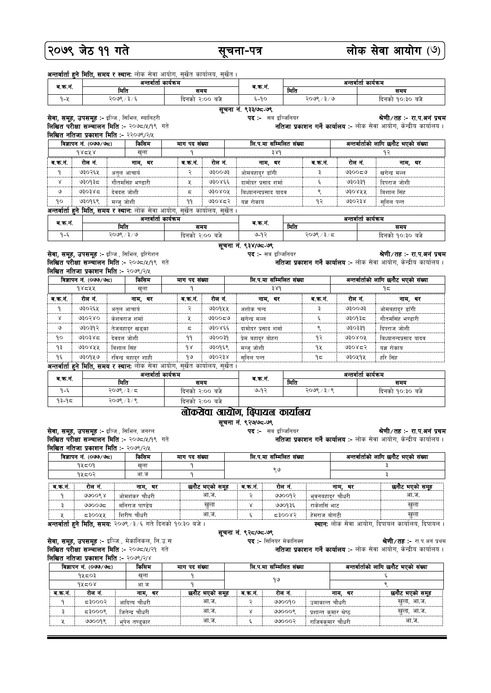| २०७९ जेठ ११ गते                  |                       |                                                                                                                                        |                       | सूचना-पत्र     |                                                                                      |                         |                                            | लोक सेवा आयोग (७)                    |                                                                                                                                                                          |  |
|----------------------------------|-----------------------|----------------------------------------------------------------------------------------------------------------------------------------|-----------------------|----------------|--------------------------------------------------------------------------------------|-------------------------|--------------------------------------------|--------------------------------------|--------------------------------------------------------------------------------------------------------------------------------------------------------------------------|--|
|                                  |                       | अन्तर्वार्ता हुने मिति, समय र स्थान: लोक सेवा आयोग, सुर्खेत कार्यालय, सुर्खेत ।                                                        |                       |                |                                                                                      |                         |                                            |                                      |                                                                                                                                                                          |  |
| अन्तर्वार्ता कार्यक्रम<br>व.क.नं |                       |                                                                                                                                        |                       |                | ब क नं                                                                               |                         |                                            | अन्तर्वार्ता कार्यक्रम               |                                                                                                                                                                          |  |
|                                  |                       | मिति<br>२०७९ / ३ / ६                                                                                                                   | समय                   |                | $5 - 90$                                                                             | मिति                    | २०७९ / ३ / ७                               |                                      | समय                                                                                                                                                                      |  |
| $9 - 4$                          |                       |                                                                                                                                        | दिनको २:०० बजे        |                |                                                                                      |                         |                                            | दिनको १०:३० बजे                      |                                                                                                                                                                          |  |
|                                  |                       | सेवा, समूह, उपसमूह :- इञ्जि., सिभिल, स्यानिटरी<br>लिखित परीक्षा सञ्चालन मिति :- २०७८/५/१९ गते<br>लिखित नतिजा प्रकाशन मिति :- २२०७९/२/५ |                       |                | सूचना नं. ९३३/७८-७९<br><b>पद :-</b> सब इञ्जिनियर                                     |                         |                                            |                                      | श्रेणी ∕तहः- रा.प.अनं प्रथम<br><b>नतिजा प्रकाशन गर्ने कार्यालय:-</b> लोक सेवा आयोग, केन्द्रीय कार्यालय।                                                                  |  |
| विज्ञापन नं. (०७७/७८)<br>किसिम   |                       |                                                                                                                                        | माग पद संख्या         |                | लि.प.मा सम्मिलित संख्या                                                              |                         | अन्तर्वार्ताको लागि छनौट भएको संख्या       |                                      |                                                                                                                                                                          |  |
|                                  | 98548                 | खला                                                                                                                                    | ٩                     |                | 38d                                                                                  |                         |                                            | १२                                   |                                                                                                                                                                          |  |
| ब.क.न.                           | रोल न.                | नाम, थर                                                                                                                                | ब.क.न.                | रोल नं.        | नाम. थर                                                                              |                         | ब.क.न.                                     | रोल न.                               | नाम, थर                                                                                                                                                                  |  |
| ۹                                | ७३०२६५                | अतुल आचार्य                                                                                                                            | २                     | १९००७३         | ओमबहादुर डाँगी                                                                       |                         | Ę                                          | ಅಕಿಂಂಕಳ                              | खगेन्द्र मल्ल                                                                                                                                                            |  |
| Χ                                | ७३०१३८                | गौतमसिंह भण्डारी                                                                                                                       | X                     | ७३०४६६         | दामोदर प्रसाद शर्मा                                                                  |                         | ६                                          | ७३०३३१                               | दिपराज जोशी                                                                                                                                                              |  |
| ও                                | ७३०३४८                | देवदत्त जोशी                                                                                                                           | ς                     | <b>ASOROK</b>  | बिध्यानन्दप्रसाद यादव                                                                |                         | ९                                          | ७३०४५५                               | बिशाल सिंह                                                                                                                                                               |  |
| ٩ο                               | ७३०१६९                | मन्ज् जोशी                                                                                                                             | ۹۹                    | ७३०४८२         | यज्ञ रोकाय                                                                           |                         | १२                                         | 930538                               | सनिल पन्त                                                                                                                                                                |  |
|                                  |                       | अन्तर्वार्ता हुने मिति, समय र स्थान: लोक सेवा आयोग, सुर्खेत कार्यालय, सुर्खेत ।                                                        |                       |                |                                                                                      |                         |                                            |                                      |                                                                                                                                                                          |  |
|                                  |                       | अन्तर्वार्ता कार्यक्रम                                                                                                                 |                       |                |                                                                                      |                         |                                            | अन्तर्वार्ता कार्यक्रम               |                                                                                                                                                                          |  |
| व.क.न.                           |                       | मिति                                                                                                                                   | समय                   |                | व.क.न.                                                                               | मिति                    |                                            | समय                                  |                                                                                                                                                                          |  |
| $9 - 5$                          |                       | २०७९ / ३ / ७                                                                                                                           | दिनको २:०० बजे        |                | $9-92$                                                                               |                         | २०७९ / ३ / $5$                             |                                      | दिनको १०:३० बजे                                                                                                                                                          |  |
|                                  |                       | सेवा, समूह, उपसमूह :- इञ्जि., सिभिल, इरिगेशन<br>लिखित परीक्षा सञ्चालन मिति :- २०७८/५/१९ गते<br>लिखित नतिजा प्रकाशन मिति :- २०७९/२/५    |                       |                | सूचना नं. ९३४/७८-७९<br><b>पद :-</b> सब इञ्जिनियर                                     |                         |                                            |                                      | श्रेणी ∕तहः- रा.प.अनं प्रथम<br><b>नतिजा प्रकाशन गर्ने कार्यालय:-</b> लोक सेवा आयोग, केन्द्रीय कार्यालय।                                                                  |  |
|                                  | विज्ञापन नं. (०७७/७८) | किसिम                                                                                                                                  | माग पद संख्या         |                |                                                                                      | लि.प.मा सम्मिलित संख्या |                                            | अन्तर्वार्ताको लागि छनौट भएको संख्या |                                                                                                                                                                          |  |
|                                  | 98544                 | खला                                                                                                                                    | ۹                     |                |                                                                                      | 389                     |                                            |                                      | ۹ς                                                                                                                                                                       |  |
| ब.क.नं.                          | रोल नं.               | नाम, थर                                                                                                                                | ब.क.नं.               | रोल नं.        | नाम, थर                                                                              |                         | ब.क.नं.                                    | रोल नं.                              | नाम, थर                                                                                                                                                                  |  |
| ۹                                | ७३०२६५                |                                                                                                                                        | २                     | ७३०१५५         | अशोक चन्द                                                                            |                         | ३                                          | ७३००७३                               |                                                                                                                                                                          |  |
|                                  |                       | अतुल आचार्य                                                                                                                            |                       |                |                                                                                      |                         |                                            |                                      | ओमबहाद्र डाँगी                                                                                                                                                           |  |
| Χ                                |                       | 930380<br>केशवराज शर्मा                                                                                                                |                       | ಅಕಿಂಂಕಿ<br>X   |                                                                                      | ६<br>खगेन्द्र मल्ल      |                                            | ७३०१३८                               | गौतमसिंह भण्डारी                                                                                                                                                         |  |
| ও                                | ७३०३१२                | तेजबहाद्र खड्का                                                                                                                        | ς                     | ७३०४६६         | दामोदर प्रसाद शर्मा                                                                  |                         | ९                                          | ७३०३३१                               | दिपराज जोशी                                                                                                                                                              |  |
| ٩o                               | ७३०३४८                | देवदत्त जोशी                                                                                                                           | ۹۹                    | ७३००३१         | प्रेम बहादर बोहरा                                                                    |                         | १२                                         | ७३०४०५                               | बिध्यानन्दप्रसाद यादव                                                                                                                                                    |  |
| ۹₹                               | ७३०४५५                | विशाल सिंह                                                                                                                             | dx                    | ७३०१६९         | मन्जु जोशी                                                                           |                         | ٩X                                         | ७३०४८२                               | यज्ञ रोकाय                                                                                                                                                               |  |
| ۹६                               | ७३०१५७                | रविन्द्र बहादर शाही                                                                                                                    | ۹७                    | 930538         | सनिल पन्त                                                                            |                         | ۹≂                                         | ७३०५१५                               | हरि सिंह                                                                                                                                                                 |  |
|                                  |                       | <b>अन्तर्वार्ता हुने मिति, समय र स्थान:</b> लोक सेवा आयोग, सुर्खेत कार्यालय, सुर्खेत ।                                                 |                       |                |                                                                                      |                         |                                            |                                      |                                                                                                                                                                          |  |
| ब.क.न.                           |                       | अन्तर्वार्ता कार्यक्रम                                                                                                                 |                       |                | ब.क.न.                                                                               |                         | मिति                                       |                                      | अन्तर्वार्ता कार्यक्रम                                                                                                                                                   |  |
| ۹−६                              |                       | मिति<br>२०७९ / ३ / ८                                                                                                                   | समय<br>दिनको २:०० बजे |                | ७-१२                                                                                 |                         |                                            |                                      | समय                                                                                                                                                                      |  |
|                                  |                       | २०७९ / ३ / ९                                                                                                                           | दिनको २:०० बजे        |                |                                                                                      |                         | २०७९ / ३ / ९                               |                                      | दिनको १०:३० बजे                                                                                                                                                          |  |
|                                  |                       | सेवा, समूह, उपसमूह :- इञ्जि., सिभिल, जनरल                                                                                              |                       |                | र्बोक्सेवा आयोग, बिपायल कार्यालय<br>सूचना नं. ९२७/७८-७९<br><b>पद :-</b> सब इञ्जिनियर |                         |                                            |                                      | श्रेणी/तह :- रा.प.अनं प्रथम<br>नतिजा प्रकाशन गर्ने कार्यालय :- लोक सेवा आयोग, केन्द्रीय कार्यालय।                                                                        |  |
|                                  |                       | लिखित परीक्षा सञ्चालन मिति :- २०७८/५/१९ गते                                                                                            |                       |                |                                                                                      |                         |                                            |                                      |                                                                                                                                                                          |  |
|                                  |                       | लिखित नतिजा प्रकाशन मिति :- २०७९/२/५                                                                                                   |                       |                |                                                                                      |                         |                                            |                                      |                                                                                                                                                                          |  |
|                                  | विज्ञापन नं. (०७७/७८) | किसिम                                                                                                                                  |                       |                |                                                                                      |                         |                                            |                                      |                                                                                                                                                                          |  |
|                                  | 94509<br>१५८०२        | खला<br>आ.ज                                                                                                                             | ۹<br>۹                |                |                                                                                      |                         |                                            |                                      | Ę<br>३                                                                                                                                                                   |  |
|                                  |                       |                                                                                                                                        |                       |                |                                                                                      |                         |                                            |                                      |                                                                                                                                                                          |  |
|                                  | रोल नं.               | नाम, थर                                                                                                                                |                       | छनौट भएको समूह | ब.क.न.                                                                               | रोल नं.                 |                                            | नाम, थर                              | छनौट भएको समूह                                                                                                                                                           |  |
| ٩                                | १९००९४                | ओमशंकर चौधरी                                                                                                                           |                       | आ.ज.           | २                                                                                    | ७७००१२                  | भुवनबहादुर चौधरी                           |                                      | आ.ज.                                                                                                                                                                     |  |
| ३                                | ಅಂಂಅಧ                 | मनिराज पाण्डेय                                                                                                                         |                       | खुला           | γ                                                                                    | ७७०१३६                  | राकेशसिं भाट                               |                                      | खुला                                                                                                                                                                     |  |
| $93 - 95$                        |                       |                                                                                                                                        | माग पद संख्या         |                | लि.प.मा सम्मिलित संख्या<br>९७                                                        |                         |                                            | अन्तर्वार्ताको लागि छनौट भएको संख्या |                                                                                                                                                                          |  |
| ब.क.न.                           |                       |                                                                                                                                        |                       |                |                                                                                      |                         |                                            |                                      |                                                                                                                                                                          |  |
|                                  |                       |                                                                                                                                        |                       |                |                                                                                      |                         |                                            |                                      |                                                                                                                                                                          |  |
|                                  |                       |                                                                                                                                        |                       |                |                                                                                      |                         |                                            |                                      |                                                                                                                                                                          |  |
| X                                | द३००५५                | शिरीष चौधरी                                                                                                                            |                       | आ.ज.           | ६                                                                                    | 2800                    | हेमराज बोगटी                               |                                      | खुला                                                                                                                                                                     |  |
|                                  |                       | अन्तर्वार्ता हुने मिति, समय: २०७९ /३/६ गते दिनको १०:३० बजे ।<br><b>सेवा, समूह, उपसमूह :-</b> इञ्जि., मेकानिकल, नि.उ.स                  |                       |                | सूचना नं. ९२८/७८-७९<br>पद:- सिनियर मेकानिक्स                                         |                         |                                            |                                      |                                                                                                                                                                          |  |
|                                  |                       | लिखित परीक्षा सञ्चालन मिति :- २०७८/५/२१ गते                                                                                            |                       |                |                                                                                      |                         |                                            |                                      |                                                                                                                                                                          |  |
|                                  |                       | लिखित नतिजा प्रकाशन मिति :- २०७९/२/४                                                                                                   |                       |                |                                                                                      |                         |                                            |                                      |                                                                                                                                                                          |  |
|                                  | विज्ञापन नं. (०७७/७८) | किसिम                                                                                                                                  | माग पद संख्या         |                | लि.प.मा सम्मिलित संख्या                                                              |                         |                                            |                                      | अन्तर्वार्ताको लागि छनौट भएको संख्या                                                                                                                                     |  |
|                                  | १५८०३                 | ख्ला                                                                                                                                   | ۹                     |                |                                                                                      | ۹७                      |                                            |                                      | स्थान: लोक सेवा आयोग, दिपायल कार्यालय, दिपायल ।<br><b>श्रेणी ⁄ तह :-</b> रा.प.अनं प्रथम<br><b>नतिजा प्रकाशन गर्ने कार्यालय:-</b> लोक सेवा आयोग, केन्द्रीय कार्यालय।<br>६ |  |
|                                  | 94508                 | आ.ज                                                                                                                                    | ٩                     |                |                                                                                      |                         |                                            |                                      | ९                                                                                                                                                                        |  |
| व.क.न.                           | रोल नं.               | नाम, थर                                                                                                                                |                       | छनौट भएको समूह | व.क.नं.                                                                              | रोल नं.                 |                                            | नाम, थर                              | छनौट भएको समूह                                                                                                                                                           |  |
| ۹                                | द३०००२                | आदित्य चौधरी                                                                                                                           |                       | आ.ज.           | २                                                                                    | ७७००१०                  | उमाकान्त चौधरी                             |                                      | खुला, आ.ज.                                                                                                                                                               |  |
| ३                                | द३०००९<br>७७००१९      | जितेन्द्र चौधरी<br>भुपेन तण्डुकार                                                                                                      |                       | आ.ज.<br>आ.ज.   | Χ                                                                                    | ७७०००९                  | प्रशान्त कुमार श्रेष्ठ<br>राजिवकुमार चौधरी |                                      | खुला, आ.ज.<br>आ.ज.                                                                                                                                                       |  |